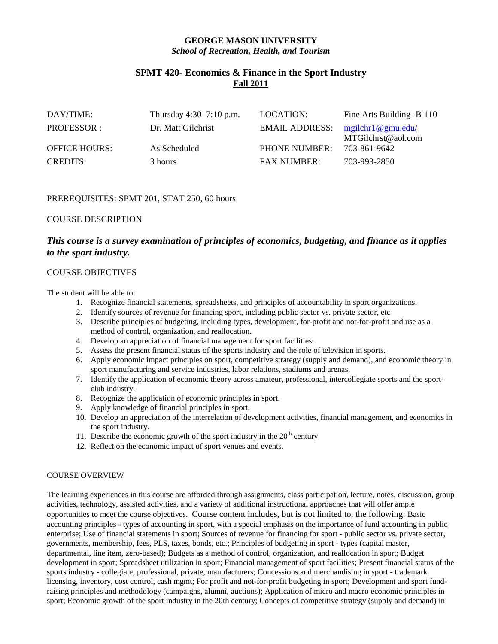# **GEORGE MASON UNIVERSITY** *School of Recreation, Health, and Tourism*

# **SPMT 420- Economics & Finance in the Sport Industry Fall 2011**

| DAY/TIME:            | Thursday $4:30-7:10$ p.m. | LOCATION:             | Fine Arts Building- B 110 |
|----------------------|---------------------------|-----------------------|---------------------------|
| PROFESSOR:           | Dr. Matt Gilchrist        | <b>EMAIL ADDRESS:</b> | mgilchr1@gmu.edu/         |
|                      |                           |                       | MTGilchrst@aol.com        |
| <b>OFFICE HOURS:</b> | As Scheduled              | <b>PHONE NUMBER:</b>  | 703-861-9642              |
| <b>CREDITS:</b>      | 3 hours                   | <b>FAX NUMBER:</b>    | 703-993-2850              |

## PREREQUISITES: SPMT 201, STAT 250, 60 hours

## COURSE DESCRIPTION

# *This course is a survey examination of principles of economics, budgeting, and finance as it applies to the sport industry.*

## COURSE OBJECTIVES

The student will be able to:

- 1. Recognize financial statements, spreadsheets, and principles of accountability in sport organizations.
- 2. Identify sources of revenue for financing sport, including public sector vs. private sector, etc
- 3. Describe principles of budgeting, including types, development, for-profit and not-for-profit and use as a method of control, organization, and reallocation.
- 4. Develop an appreciation of financial management for sport facilities.
- 5. Assess the present financial status of the sports industry and the role of television in sports.
- 6. Apply economic impact principles on sport, competitive strategy (supply and demand), and economic theory in sport manufacturing and service industries, labor relations, stadiums and arenas.
- 7. Identify the application of economic theory across amateur, professional, intercollegiate sports and the sportclub industry.
- 8. Recognize the application of economic principles in sport.
- 9. Apply knowledge of financial principles in sport.
- 10. Develop an appreciation of the interrelation of development activities, financial management, and economics in the sport industry.
- 11. Describe the economic growth of the sport industry in the  $20<sup>th</sup>$  century
- 12. Reflect on the economic impact of sport venues and events.

## COURSE OVERVIEW

The learning experiences in this course are afforded through assignments, class participation, lecture, notes, discussion, group activities, technology, assisted activities, and a variety of additional instructional approaches that will offer ample opportunities to meet the course objectives. Course content includes, but is not limited to, the following: Basic accounting principles - types of accounting in sport, with a special emphasis on the importance of fund accounting in public enterprise; Use of financial statements in sport; Sources of revenue for financing for sport - public sector vs. private sector, governments, membership, fees, PLS, taxes, bonds, etc.; Principles of budgeting in sport - types (capital master, departmental, line item, zero-based); Budgets as a method of control, organization, and reallocation in sport; Budget development in sport; Spreadsheet utilization in sport; Financial management of sport facilities; Present financial status of the sports industry - collegiate, professional, private, manufacturers; Concessions and merchandising in sport - trademark licensing, inventory, cost control, cash mgmt; For profit and not-for-profit budgeting in sport; Development and sport fundraising principles and methodology (campaigns, alumni, auctions); Application of micro and macro economic principles in sport; Economic growth of the sport industry in the 20th century; Concepts of competitive strategy (supply and demand) in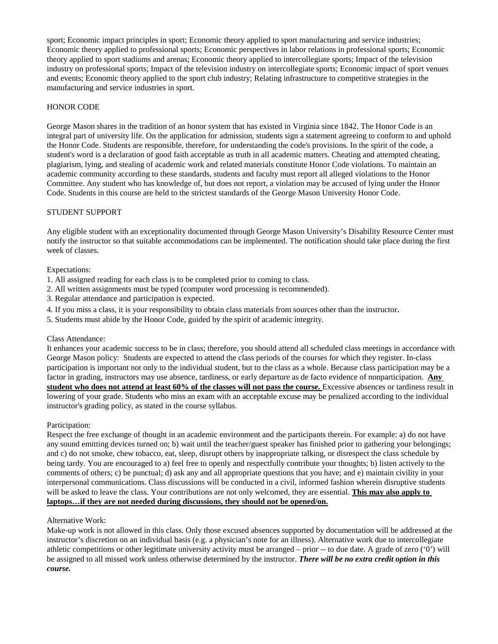sport; Economic impact principles in sport; Economic theory applied to sport manufacturing and service industries; Economic theory applied to professional sports; Economic perspectives in labor relations in professional sports; Economic theory applied to sport stadiums and arenas; Economic theory applied to intercollegiate sports; Impact of the television industry on professional sports; Impact of the television industry on intercollegiate sports; Economic impact of sport venues and events; Economic theory applied to the sport club industry; Relating infrastructure to competitive strategies in the manufacturing and service industries in sport.

### HONOR CODE

George Mason shares in the tradition of an honor system that has existed in Virginia since 1842. The Honor Code is an integral part of university life. On the application for admission, students sign a statement agreeing to conform to and uphold the Honor Code. Students are responsible, therefore, for understanding the code's provisions. In the spirit of the code, a student's word is a declaration of good faith acceptable as truth in all academic matters. Cheating and attempted cheating, plagiarism, lying, and stealing of academic work and related materials constitute Honor Code violations. To maintain an academic community according to these standards, students and faculty must report all alleged violations to the Honor Committee. Any student who has knowledge of, but does not report, a violation may be accused of lying under the Honor Code. Students in this course are held to the strictest standards of the George Mason University Honor Code.

#### STUDENT SUPPORT

Any eligible student with an exceptionality documented through George Mason University's Disability Resource Center must notify the instructor so that suitable accommodations can be implemented. The notification should take place during the first week of classes.

#### Expectations:

- 1. All assigned reading for each class is to be completed prior to coming to class.
- 2. All written assignments must be typed (computer word processing is recommended).
- 3. Regular attendance and participation is expected.
- 4. If you miss a class, it is your responsibility to obtain class materials from sources other than the instructor.
- 5. Students must abide by the Honor Code, guided by the spirit of academic integrity.

#### Class Attendance:

It enhances your academic success to be in class; therefore, you should attend all scheduled class meetings in accordance with George Mason policy: Students are expected to attend the class periods of the courses for which they register. In-class participation is important not only to the individual student, but to the class as a whole. Because class participation may be a factor in grading, instructors may use absence, tardiness, or early departure as de facto evidence of nonparticipation. **Any student who does not attend at least 60% of the classes will not pass the course.** Excessive absences or tardiness result in lowering of your grade. Students who miss an exam with an acceptable excuse may be penalized according to the individual instructor's grading policy, as stated in the course syllabus.

#### Participation:

Respect the free exchange of thought in an academic environment and the participants therein. For example: a) do not have any sound emitting devices turned on; b) wait until the teacher/guest speaker has finished prior to gathering your belongings; and c) do not smoke, chew tobacco, eat, sleep, disrupt others by inappropriate talking, or disrespect the class schedule by being tardy. You are encouraged to a) feel free to openly and respectfully contribute your thoughts; b) listen actively to the comments of others; c) be punctual; d) ask any and all appropriate questions that you have; and e) maintain civility in your interpersonal communications. Class discussions will be conducted in a civil, informed fashion wherein disruptive students will be asked to leave the class. Your contributions are not only welcomed, they are essential. **This may also apply to laptops…if they are not needed during discussions, they should not be opened/on.**

#### Alternative Work:

Make-up work is not allowed in this class. Only those excused absences supported by documentation will be addressed at the instructor's discretion on an individual basis (e.g. a physician's note for an illness). Alternative work due to intercollegiate athletic competitions or other legitimate university activity must be arranged – prior -- to due date. A grade of zero ('0') will be assigned to all missed work unless otherwise determined by the instructor. *There will be no extra credit option in this course.*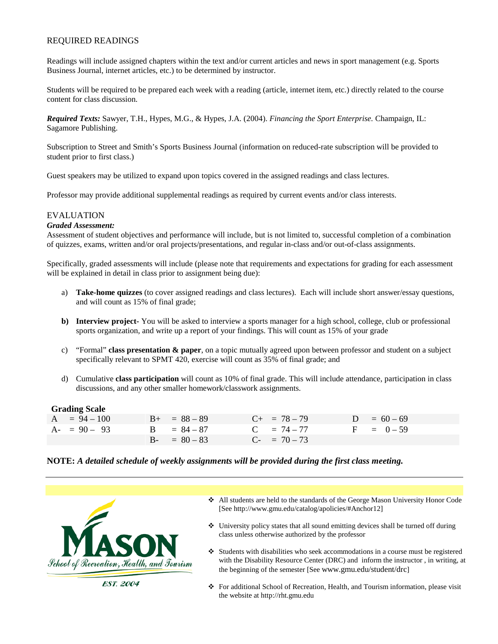## REQUIRED READINGS

Readings will include assigned chapters within the text and/or current articles and news in sport management (e.g. Sports Business Journal, internet articles, etc.) to be determined by instructor.

Students will be required to be prepared each week with a reading (article, internet item, etc.) directly related to the course content for class discussion.

*Required Texts:* Sawyer, T.H., Hypes, M.G., & Hypes, J.A. (2004). *Financing the Sport Enterprise.* Champaign, IL: Sagamore Publishing.

Subscription to Street and Smith's Sports Business Journal (information on reduced-rate subscription will be provided to student prior to first class.)

Guest speakers may be utilized to expand upon topics covered in the assigned readings and class lectures.

Professor may provide additional supplemental readings as required by current events and/or class interests.

## EVALUATION

#### *Graded Assessment:*

Assessment of student objectives and performance will include, but is not limited to, successful completion of a combination of quizzes, exams, written and/or oral projects/presentations, and regular in-class and/or out-of-class assignments.

Specifically, graded assessments will include (please note that requirements and expectations for grading for each assessment will be explained in detail in class prior to assignment being due):

- a) **Take-home quizzes** (to cover assigned readings and class lectures). Each will include short answer/essay questions, and will count as 15% of final grade;
- **b) Interview project-** You will be asked to interview a sports manager for a high school, college, club or professional sports organization, and write up a report of your findings. This will count as 15% of your grade
- c) "Formal" **class presentation & paper**, on a topic mutually agreed upon between professor and student on a subject specifically relevant to SPMT 420, exercise will count as 35% of final grade; and
- d) Cumulative **class participation** will count as 10% of final grade. This will include attendance, participation in class discussions, and any other smaller homework/classwork assignments.

#### **Grading Scale**

| $A = 94 - 100$ | $B_{+} = 88 - 89$ | $C_{+}$ = 78 – 79 | $D = 60 - 69$ |
|----------------|-------------------|-------------------|---------------|
| $A - 90 - 93$  | $B = 84 - 87$     | $C = 74 - 77$     | $F = 0-59$    |
|                | $B - = 80 - 83$   | $C_{-}$ = 70 – 73 |               |

#### **NOTE:** *A detailed schedule of weekly assignments will be provided during the first class meeting.*



- All students are held to the standards of the George Mason University Honor Code [See http://www.gmu.edu/catalog/apolicies/#Anchor12]
- $\triangle$  University policy states that all sound emitting devices shall be turned off during class unless otherwise authorized by the professor
- $\triangleleft$  Students with disabilities who seek accommodations in a course must be registered with the Disability Resource Center (DRC) and inform the instructor , in writing, at the beginning of the semester [See www.gmu.edu/student/drc]
- For additional School of Recreation, Health, and Tourism information, please visit the website at http://rht.gmu.edu

**EST. 2004**